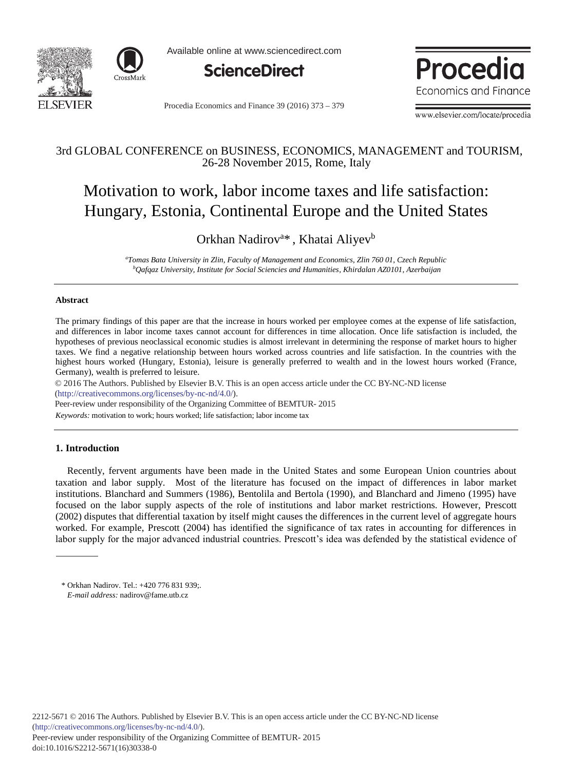



Available online at www.sciencedirect.com



Procedia Economics and Finance 39 (2016) 373 – 379



www.elsevier.com/locate/procedia

# 3rd GLOBAL CONFERENCE on BUSINESS, ECONOMICS, MANAGEMENT and TOURISM, 26-28 November 2015, Rome, Italy

# Motivation to work, labor income taxes and life satisfaction: Hungary, Estonia, Continental Europe and the United States

# Orkhan Nadirov<sup>a\*</sup>, Khatai Aliyev<sup>b</sup>

*a Tomas Bata University in Zlin, Faculty of Management and Economics, Zlin 760 01, Czech Republic b Qafqaz University, Institute for Social Sciencies and Humanities, Khirdalan AZ0101, Azerbaijan* 

#### **Abstract**

The primary findings of this paper are that the increase in hours worked per employee comes at the expense of life satisfaction, and differences in labor income taxes cannot account for differences in time allocation. Once life satisfaction is included, the hypotheses of previous neoclassical economic studies is almost irrelevant in determining the response of market hours to higher taxes. We find a negative relationship between hours worked across countries and life satisfaction. In the countries with the highest hours worked (Hungary, Estonia), leisure is generally preferred to wealth and in the lowest hours worked (France, Germany), wealth is preferred to leisure.

© 2016 The Authors. Published by Elsevier B.V. © 2016 The Authors. Published by Elsevier B.V. This is an open access article under the CC BY-NC-ND license (http://creativecommons.org/licenses/by-nc-nd/4.0/).

Peer-review under responsibility of the Organizing Committee of BEMTUR- 2015

*Keywords:* motivation to work; hours worked; life satisfaction; labor income tax

### **1. Introduction**

Recently, fervent arguments have been made in the United States and some European Union countries about taxation and labor supply. Most of the literature has focused on the impact of differences in labor market institutions. Blanchard and Summers (1986), Bentolila and Bertola (1990), and Blanchard and Jimeno (1995) have focused on the labor supply aspects of the role of institutions and labor market restrictions. However, Prescott (2002) disputes that differential taxation by itself might causes the differences in the current level of aggregate hours worked. For example, Prescott (2004) has identified the significance of tax rates in accounting for differences in labor supply for the major advanced industrial countries. Prescott's idea was defended by the statistical evidence of

<sup>\*</sup> Orkhan Nadirov. Tel.: +420 776 831 939;. *E-mail address:* nadirov@fame.utb.cz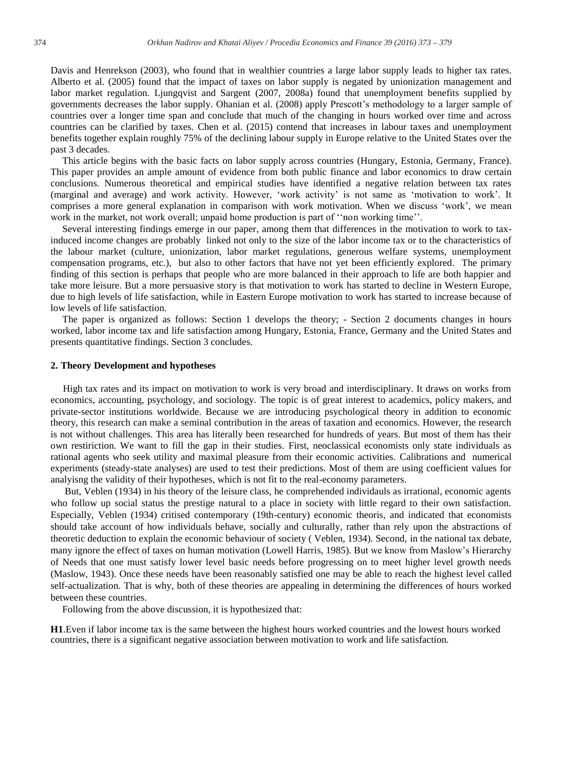Davis and Henrekson (2003), who found that in wealthier countries a large labor supply leads to higher tax rates. Alberto et al. (2005) found that the impact of taxes on labor supply is negated by unionization management and labor market regulation. Ljungqvist and Sargent (2007, 2008a) found that unemployment benefits supplied by governments decreases the labor supply. Ohanian et al. (2008) apply Prescott's methodology to a larger sample of countries over a longer time span and conclude that much of the changing in hours worked over time and across countries can be clarified by taxes. Chen et al. (2015) contend that increases in labour taxes and unemployment benefits together explain roughly 75% of the declining labour supply in Europe relative to the United States over the past 3 decades.

This article begins with the basic facts on labor supply across countries (Hungary, Estonia, Germany, France). This paper provides an ample amount of evidence from both public finance and labor economics to draw certain conclusions. Numerous theoretical and empirical studies have identified a negative relation between tax rates (marginal and average) and work activity. However, 'work activity' is not same as 'motivation to work'. It comprises a more general explanation in comparison with work motivation. When we discuss 'work', we mean work in the market, not work overall; unpaid home production is part of ''non working time''.

Several interesting findings emerge in our paper, among them that differences in the motivation to work to taxinduced income changes are probably linked not only to the size of the labor income tax or to the characteristics of the labour market (culture, unionization, labor market regulations, generous welfare systems, unemployment compensation programs, etc.), but also to other factors that have not yet been efficiently explored. The primary finding of this section is perhaps that people who are more balanced in their approach to life are both happier and take more leisure. But a more persuasive story is that motivation to work has started to decline in Western Europe, due to high levels of life satisfaction, while in Eastern Europe motivation to work has started to increase because of low levels of life satisfaction.

The paper is organized as follows: Section 1 develops the theory; - Section 2 documents changes in hours worked, labor income tax and life satisfaction among Hungary, Estonia, France, Germany and the United States and presents quantitative findings. Section 3 concludes.

#### **2. Theory Development and hypotheses**

 High tax rates and its impact on motivation to work is very broad and interdisciplinary. It draws on works from economics, accounting, psychology, and sociology. The topic is of great interest to academics, policy makers, and private-sector institutions worldwide. Because we are introducing psychological theory in addition to economic theory, this research can make a seminal contribution in the areas of taxation and economics. However, the research is not without challenges. This area has literally been researched for hundreds of years. But most of them has their own restiriction. We want to fill the gap in their studies. First, neoclassical economists only state individuals as rational agents who seek utility and maximal pleasure from their economic activities. Calibrations and numerical experiments (steady-state analyses) are used to test their predictions. Most of them are using coefficient values for analyisng the validity of their hypotheses, which is not fit to the real-economy parameters.

But, Veblen (1934) in his theory of the leisure class, he comprehended individauls as irrational, economic agents who follow up social status the prestige natural to a place in society with little regard to their own satisfaction. Especially, Veblen (1934) critised contemporary (19th-century) economic theoris, and indicated that economists should take account of how individuals behave, socially and culturally, rather than rely upon the abstractions of theoretic deduction to explain the economic behaviour of society ( Veblen, 1934). Second, in the national tax debate, many ignore the effect of taxes on human motivation (Lowell Harris, 1985). But we know from Maslow's Hierarchy of Needs that one must satisfy lower level basic needs before progressing on to meet higher level growth needs (Maslow, 1943). Once these needs have been reasonably satisfied one may be able to reach the highest level called self-actualization. That is why, both of these theories are appealing in determining the differences of hours worked between these countries.

Following from the above discussion, it is hypothesized that:

**H1**.Even if labor income tax is the same between the highest hours worked countries and the lowest hours worked countries, there is a significant negative association between motivation to work and life satisfaction.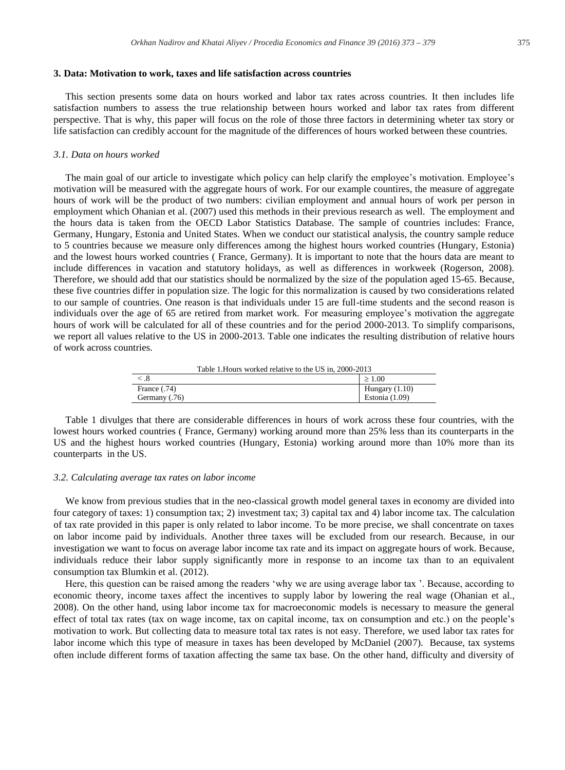#### **3. Data: Motivation to work, taxes and life satisfaction across countries**

This section presents some data on hours worked and labor tax rates across countries. It then includes life satisfaction numbers to assess the true relationship between hours worked and labor tax rates from different perspective. That is why, this paper will focus on the role of those three factors in determining wheter tax story or life satisfaction can credibly account for the magnitude of the differences of hours worked between these countries.

#### *3.1. Data on hours worked*

The main goal of our article to investigate which policy can help clarify the employee's motivation. Employee's motivation will be measured with the aggregate hours of work. For our example countires, the measure of aggregate hours of work will be the product of two numbers: civilian employment and annual hours of work per person in employment which Ohanian et al. (2007) used this methods in their previous research as well. The employment and the hours data is taken from the OECD Labor Statistics Database. The sample of countries includes: France, Germany, Hungary, Estonia and United States. When we conduct our statistical analysis, the country sample reduce to 5 countries because we measure only differences among the highest hours worked countries (Hungary, Estonia) and the lowest hours worked countries ( France, Germany). It is important to note that the hours data are meant to include differences in vacation and statutory holidays, as well as differences in workweek (Rogerson, 2008). Therefore, we should add that our statistics should be normalized by the size of the population aged 15-65. Because, these five countries differ in population size. The logic for this normalization is caused by two considerations related to our sample of countries. One reason is that individuals under 15 are full-time students and the second reason is individuals over the age of 65 are retired from market work. For measuring employee's motivation the aggregate hours of work will be calculated for all of these countries and for the period 2000-2013. To simplify comparisons, we report all values relative to the US in 2000-2013. Table one indicates the resulting distribution of relative hours of work across countries.

| Table 1. Hours worked relative to the US in. 2000-2013 |                  |  |  |  |
|--------------------------------------------------------|------------------|--|--|--|
| $\langle .8$                                           | > 1.00           |  |  |  |
| France (.74)                                           | Hungary $(1.10)$ |  |  |  |
| Germany (.76)                                          | Estonia $(1.09)$ |  |  |  |

Table 1 divulges that there are considerable differences in hours of work across these four countries, with the lowest hours worked countries ( France, Germany) working around more than 25% less than its counterparts in the US and the highest hours worked countries (Hungary, Estonia) working around more than 10% more than its counterparts in the US.

#### *3.2. Calculating average tax rates on labor income*

We know from previous studies that in the neo-classical growth model general taxes in economy are divided into four category of taxes: 1) consumption tax; 2) investment tax; 3) capital tax and 4) labor income tax. The calculation of tax rate provided in this paper is only related to labor income. To be more precise, we shall concentrate on taxes on labor income paid by individuals. Another three taxes will be excluded from our research. Because, in our investigation we want to focus on average labor income tax rate and its impact on aggregate hours of work. Because, individuals reduce their labor supply significantly more in response to an income tax than to an equivalent consumption tax Blumkin et al. (2012).

Here, this question can be raised among the readers 'why we are using average labor tax '. Because, according to economic theory, income taxes affect the incentives to supply labor by lowering the real wage (Ohanian et al., 2008). On the other hand, using labor income tax for macroeconomic models is necessary to measure the general effect of total tax rates (tax on wage income, tax on capital income, tax on consumption and etc.) on the people's motivation to work. But collecting data to measure total tax rates is not easy. Therefore, we used labor tax rates for labor income which this type of measure in taxes has been developed by McDaniel (2007). Because, tax systems often include different forms of taxation affecting the same tax base. On the other hand, difficulty and diversity of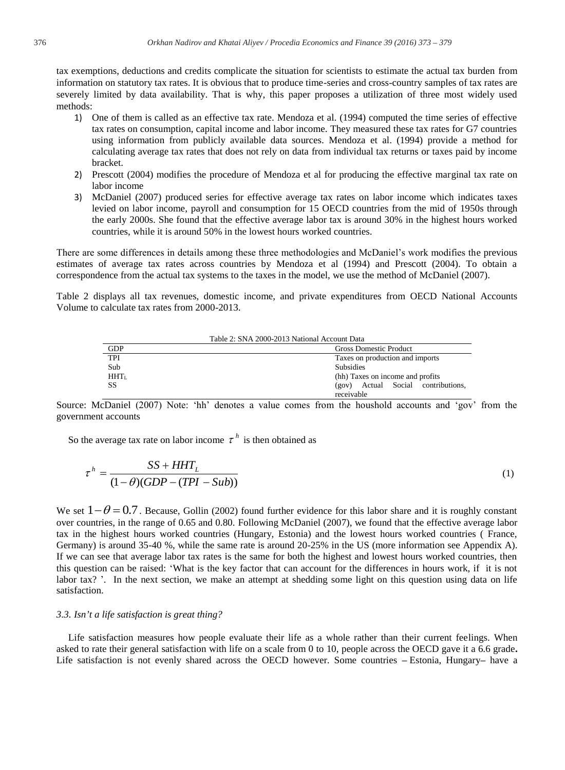tax exemptions, deductions and credits complicate the situation for scientists to estimate the actual tax burden from information on statutory tax rates. It is obvious that to produce time-series and cross-country samples of tax rates are severely limited by data availability. That is why, this paper proposes a utilization of three most widely used methods:

- 1) One of them is called as an effective tax rate. Mendoza et al. (1994) computed the time series of effective tax rates on consumption, capital income and labor income. They measured these tax rates for G7 countries using information from publicly available data sources. Mendoza et al. (1994) provide a method for calculating average tax rates that does not rely on data from individual tax returns or taxes paid by income bracket.
- 2) Prescott (2004) modifies the procedure of Mendoza et al for producing the effective marginal tax rate on labor income
- 3) McDaniel (2007) produced series for effective average tax rates on labor income which indicates taxes levied on labor income, payroll and consumption for 15 OECD countries from the mid of 1950s through the early 2000s. She found that the effective average labor tax is around 30% in the highest hours worked countries, while it is around 50% in the lowest hours worked countries.

There are some differences in details among these three methodologies and McDaniel's work modifies the previous estimates of average tax rates across countries by Mendoza et al (1994) and Prescott (2004). To obtain a correspondence from the actual tax systems to the taxes in the model, we use the method of McDaniel (2007).

Table 2 displays all tax revenues, domestic income, and private expenditures from OECD National Accounts Volume to calculate tax rates from 2000-2013.

| Table 2: SNA 2000-2013 National Account Data |                                    |  |  |  |  |  |
|----------------------------------------------|------------------------------------|--|--|--|--|--|
| <b>GDP</b>                                   | <b>Gross Domestic Product</b>      |  |  |  |  |  |
| <b>TPI</b>                                   | Taxes on production and imports    |  |  |  |  |  |
| Sub                                          | <b>Subsidies</b>                   |  |  |  |  |  |
| $HHT_{L}$                                    | (hh) Taxes on income and profits   |  |  |  |  |  |
| SS                                           | (gov) Actual Social contributions, |  |  |  |  |  |
|                                              | receivable                         |  |  |  |  |  |

Source: McDaniel (2007) Note: 'hh' denotes a value comes from the houshold accounts and 'gov' from the government accounts

So the average tax rate on labor income  $\tau^h$  is then obtained as

$$
\tau^h = \frac{SS + HHT_L}{(1 - \theta)(GDP - (TPI - Sub))}
$$
\n(1)

We set  $1 - \theta = 0.7$ . Because, Gollin (2002) found further evidence for this labor share and it is roughly constant over countries, in the range of 0.65 and 0.80. Following McDaniel (2007), we found that the effective average labor tax in the highest hours worked countries (Hungary, Estonia) and the lowest hours worked countries ( France, Germany) is around 35-40 %, while the same rate is around 20-25% in the US (more information see Appendix A). If we can see that average labor tax rates is the same for both the highest and lowest hours worked countries, then this question can be raised: 'What is the key factor that can account for the differences in hours work, if it is not labor tax? '. In the next section, we make an attempt at shedding some light on this question using data on life satisfaction.

#### *3.3. Isn't a life satisfaction is great thing?*

Life satisfaction measures how people evaluate their life as a whole rather than their current feelings. When asked to rate their general satisfaction with life on a scale from 0 to 10, people across the OECD gave it a 6.6 grade**.** Life satisfaction is not evenly shared across the OECD however. Some countries **–** Estonia, Hungary**–** have a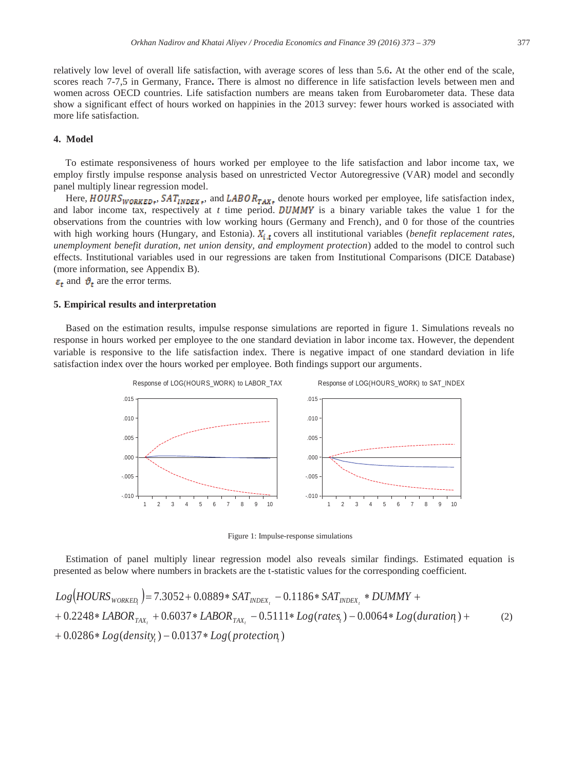relatively low level of overall life satisfaction, with average scores of less than 5.6**.** At the other end of the scale, scores reach 7-7,5 in Germany, France**.** There is almost no difference in life satisfaction levels between men and women across OECD countries. Life satisfaction numbers are means taken from Eurobarometer data. These data show a significant effect of hours worked on happinies in the 2013 survey: fewer hours worked is associated with more life satisfaction.

## **4. Model**

To estimate responsiveness of hours worked per employee to the life satisfaction and labor income tax, we employ firstly impulse response analysis based on unrestricted Vector Autoregressive (VAR) model and secondly panel multiply linear regression model.

Here,  $HOURS_{WORREDr}$ ,  $SAT_{INDEXr}$ , and  $LABOR_{TAXr}$  denote hours worked per employee, life satisfaction index, and labor income tax, respectively at  $t$  time period. **DUMMY** is a binary variable takes the value 1 for the observations from the countries with low working hours (Germany and French), and 0 for those of the countries with high working hours (Hungary, and Estonia).  $X_{i,t}$  covers all institutional variables (*benefit replacement rates*, *unemployment benefit duration, net union density, and employment protection*) added to the model to control such effects. Institutional variables used in our regressions are taken from Institutional Comparisons (DICE Database) (more information, see Appendix B).

 $\varepsilon_t$  and  $\vartheta_t$  are the error terms.

#### **5. Empirical results and interpretation**

Based on the estimation results, impulse response simulations are reported in figure 1. Simulations reveals no response in hours worked per employee to the one standard deviation in labor income tax. However, the dependent variable is responsive to the life satisfaction index. There is negative impact of one standard deviation in life satisfaction index over the hours worked per employee. Both findings support our arguments.



Figure 1: Impulse-response simulations

Estimation of panel multiply linear regression model also reveals similar findings. Estimated equation is presented as below where numbers in brackets are the t-statistic values for the corresponding coefficient.

$$
Log(HOLRS_{WORKED_i}) = 7.3052 + 0.0889 * SAT_{NDEX_i} - 0.1186 * SAT_{NDEX_i} * DUMMY ++ 0.2248 * LABOR_{TAX_i} + 0.6037 * LABOR_{TAX_i} - 0.5111 * Log(rates_i) - 0.0064 * Log(duration_i) ++ 0.0286 * Log(density_i) - 0.0137 * Log(protection_i)
$$
 (2)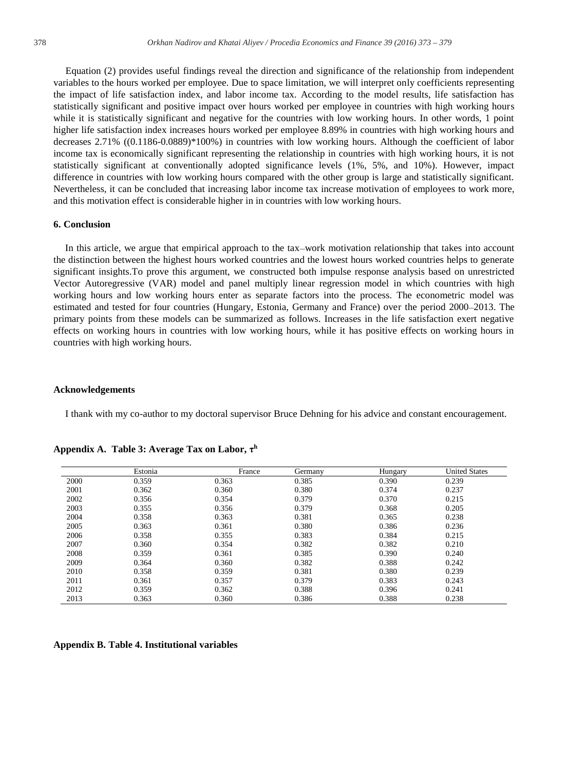Equation (2) provides useful findings reveal the direction and significance of the relationship from independent variables to the hours worked per employee. Due to space limitation, we will interpret only coefficients representing the impact of life satisfaction index, and labor income tax. According to the model results, life satisfaction has statistically significant and positive impact over hours worked per employee in countries with high working hours while it is statistically significant and negative for the countries with low working hours. In other words, 1 point higher life satisfaction index increases hours worked per employee 8.89% in countries with high working hours and decreases 2.71% ((0.1186-0.0889)\*100%) in countries with low working hours. Although the coefficient of labor income tax is economically significant representing the relationship in countries with high working hours, it is not statistically significant at conventionally adopted significance levels (1%, 5%, and 10%). However, impact difference in countries with low working hours compared with the other group is large and statistically significant. Nevertheless, it can be concluded that increasing labor income tax increase motivation of employees to work more, and this motivation effect is considerable higher in in countries with low working hours.

#### **6. Conclusion**

In this article, we argue that empirical approach to the tax–work motivation relationship that takes into account the distinction between the highest hours worked countries and the lowest hours worked countries helps to generate significant insights.To prove this argument, we constructed both impulse response analysis based on unrestricted Vector Autoregressive (VAR) model and panel multiply linear regression model in which countries with high working hours and low working hours enter as separate factors into the process. The econometric model was estimated and tested for four countries (Hungary, Estonia, Germany and France) over the period 2000–2013. The primary points from these models can be summarized as follows. Increases in the life satisfaction exert negative effects on working hours in countries with low working hours, while it has positive effects on working hours in countries with high working hours.

#### **Acknowledgements**

I thank with my co-author to my doctoral supervisor Bruce Dehning for his advice and constant encouragement.

|      | Estonia | France | Germany | Hungary | <b>United States</b> |
|------|---------|--------|---------|---------|----------------------|
| 2000 | 0.359   | 0.363  | 0.385   | 0.390   | 0.239                |
| 2001 | 0.362   | 0.360  | 0.380   | 0.374   | 0.237                |
| 2002 | 0.356   | 0.354  | 0.379   | 0.370   | 0.215                |
| 2003 | 0.355   | 0.356  | 0.379   | 0.368   | 0.205                |
| 2004 | 0.358   | 0.363  | 0.381   | 0.365   | 0.238                |
| 2005 | 0.363   | 0.361  | 0.380   | 0.386   | 0.236                |
| 2006 | 0.358   | 0.355  | 0.383   | 0.384   | 0.215                |
| 2007 | 0.360   | 0.354  | 0.382   | 0.382   | 0.210                |
| 2008 | 0.359   | 0.361  | 0.385   | 0.390   | 0.240                |
| 2009 | 0.364   | 0.360  | 0.382   | 0.388   | 0.242                |
| 2010 | 0.358   | 0.359  | 0.381   | 0.380   | 0.239                |
| 2011 | 0.361   | 0.357  | 0.379   | 0.383   | 0.243                |
| 2012 | 0.359   | 0.362  | 0.388   | 0.396   | 0.241                |
| 2013 | 0.363   | 0.360  | 0.386   | 0.388   | 0.238                |

**Appendix A. Table 3: Average Tax on Labor, τ<sup>h</sup>**

**Appendix B. Table 4. Institutional variables**